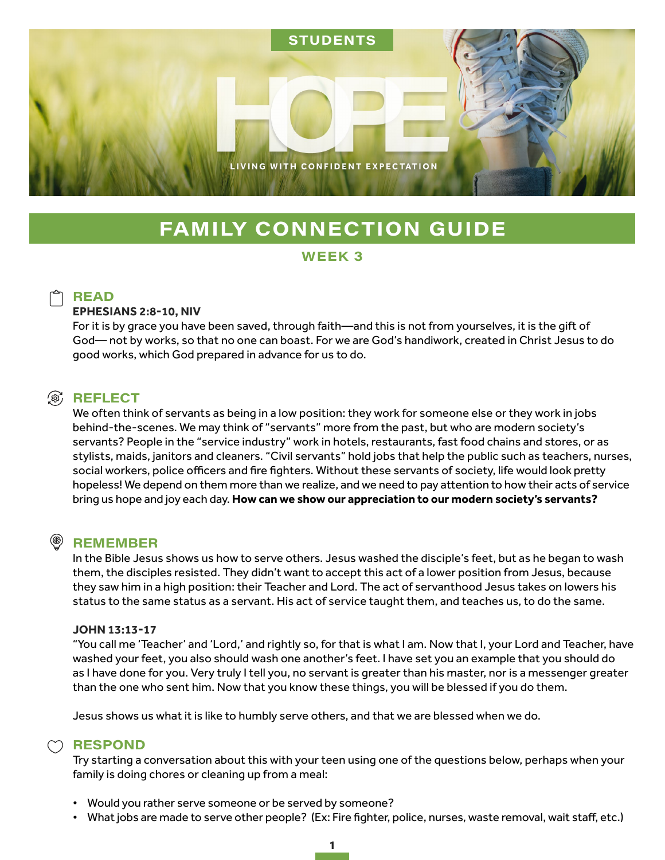

# **FAMILY CONNECTION GUIDE**

### WEEK<sub>3</sub>

## **READ**

#### **EPHESIANS 2:8-10, NIV**

For it is by grace you have been saved, through faith—and this is not from yourselves, it is the gift of God— not by works, so that no one can boast. For we are God's handiwork, created in Christ Jesus to do good works, which God prepared in advance for us to do.

# **③ REFLECT**

We often think of servants as being in a low position: they work for someone else or they work in jobs behind-the-scenes. We may think of "servants" more from the past, but who are modern society's servants? People in the "service industry" work in hotels, restaurants, fast food chains and stores, or as stylists, maids, janitors and cleaners. "Civil servants" hold jobs that help the public such as teachers, nurses, social workers, police officers and fire fighters. Without these servants of society, life would look pretty hopeless! We depend on them more than we realize, and we need to pay attention to how their acts of service bring us hope and joy each day. **How can we show our appreciation to our modern society's servants?** 

#### $^{\circledR})$ **REMEMBER**

In the Bible Jesus shows us how to serve others. Jesus washed the disciple's feet, but as he began to wash them, the disciples resisted. They didn't want to accept this act of a lower position from Jesus, because they saw him in a high position: their Teacher and Lord. The act of servanthood Jesus takes on lowers his status to the same status as a servant. His act of service taught them, and teaches us, to do the same.

#### **JOHN 13:13-17**

"You call me 'Teacher' and 'Lord,' and rightly so, for that is what I am. Now that I, your Lord and Teacher, have washed your feet, you also should wash one another's feet. I have set you an example that you should do as I have done for you. Very truly I tell you, no servant is greater than his master, nor is a messenger greater than the one who sent him. Now that you know these things, you will be blessed if you do them.

Jesus shows us what it is like to humbly serve others, and that we are blessed when we do.

### $\bigcirc$  RESPOND

Try starting a conversation about this with your teen using one of the questions below, perhaps when your family is doing chores or cleaning up from a meal:

- Would you rather serve someone or be served by someone?
- What jobs are made to serve other people? (Ex: Fire fighter, police, nurses, waste removal, wait staff, etc.)